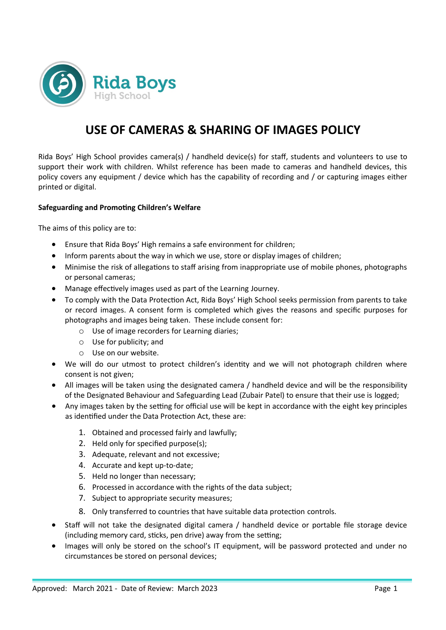

## **USE OF CAMERAS & SHARING OF IMAGES POLICY**

Rida Boys' High School provides camera(s) / handheld device(s) for staff, students and volunteers to use to support their work with children. Whilst reference has been made to cameras and handheld devices, this policy covers any equipment / device which has the capability of recording and / or capturing images either printed or digital.

## **Safeguarding and Promoting Children's Welfare**

The aims of this policy are to:

- Ensure that Rida Boys' High remains a safe environment for children;
- Inform parents about the way in which we use, store or display images of children;
- Minimise the risk of allegations to staff arising from inappropriate use of mobile phones, photographs or personal cameras;
- Manage effectively images used as part of the Learning Journey.
- To comply with the Data Protection Act, Rida Boys' High School seeks permission from parents to take or record images. A consent form is completed which gives the reasons and specific purposes for photographs and images being taken. These include consent for:
	- o Use of image recorders for Learning diaries;
	- o Use for publicity; and
	- o Use on our website.
- We will do our utmost to protect children's identity and we will not photograph children where consent is not given;
- All images will be taken using the designated camera / handheld device and will be the responsibility of the Designated Behaviour and Safeguarding Lead (Zubair Patel) to ensure that their use is logged;
- Any images taken by the setting for official use will be kept in accordance with the eight key principles as identified under the Data Protection Act, these are:
	- 1. Obtained and processed fairly and lawfully;
	- 2. Held only for specified purpose(s);
	- 3. Adequate, relevant and not excessive;
	- 4. Accurate and kept up-to-date;
	- 5. Held no longer than necessary;
	- 6. Processed in accordance with the rights of the data subject;
	- 7. Subject to appropriate security measures;
	- 8. Only transferred to countries that have suitable data protection controls.
- Staff will not take the designated digital camera / handheld device or portable file storage device (including memory card, sticks, pen drive) away from the setting;
- Images will only be stored on the school's IT equipment, will be password protected and under no circumstances be stored on personal devices;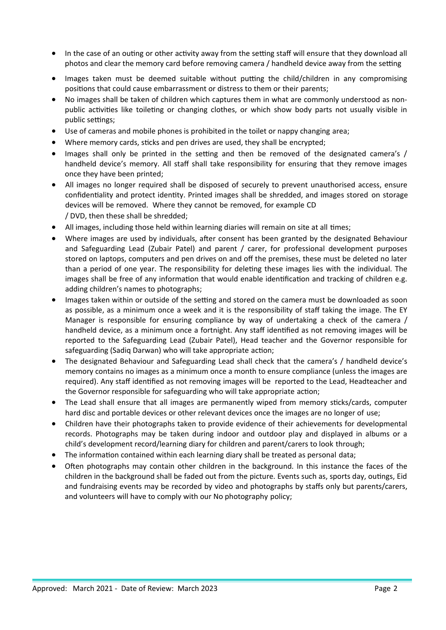- In the case of an outing or other activity away from the setting staff will ensure that they download all photos and clear the memory card before removing camera / handheld device away from the setting
- Images taken must be deemed suitable without putting the child/children in any compromising positions that could cause embarrassment or distress to them or their parents;
- No images shall be taken of children which captures them in what are commonly understood as nonpublic activities like toileting or changing clothes, or which show body parts not usually visible in public settings;
- Use of cameras and mobile phones is prohibited in the toilet or nappy changing area;
- Where memory cards, sticks and pen drives are used, they shall be encrypted;
- Images shall only be printed in the setting and then be removed of the designated camera's / handheld device's memory. All staff shall take responsibility for ensuring that they remove images once they have been printed;
- All images no longer required shall be disposed of securely to prevent unauthorised access, ensure confidentiality and protect identity. Printed images shall be shredded, and images stored on storage devices will be removed. Where they cannot be removed, for example CD / DVD, then these shall be shredded;
- All images, including those held within learning diaries will remain on site at all times;
- Where images are used by individuals, after consent has been granted by the designated Behaviour and Safeguarding Lead (Zubair Patel) and parent / carer, for professional development purposes stored on laptops, computers and pen drives on and off the premises, these must be deleted no later than a period of one year. The responsibility for deleting these images lies with the individual. The images shall be free of any information that would enable identification and tracking of children e.g. adding children's names to photographs;
- Images taken within or outside of the setting and stored on the camera must be downloaded as soon as possible, as a minimum once a week and it is the responsibility of staff taking the image. The EY Manager is responsible for ensuring compliance by way of undertaking a check of the camera / handheld device, as a minimum once a fortnight. Any staff identified as not removing images will be reported to the Safeguarding Lead (Zubair Patel), Head teacher and the Governor responsible for safeguarding (Sadiq Darwan) who will take appropriate action;
- The designated Behaviour and Safeguarding Lead shall check that the camera's / handheld device's memory contains no images as a minimum once a month to ensure compliance (unless the images are required). Any staff identified as not removing images will be reported to the Lead, Headteacher and the Governor responsible for safeguarding who will take appropriate action;
- The Lead shall ensure that all images are permanently wiped from memory sticks/cards, computer hard disc and portable devices or other relevant devices once the images are no longer of use;
- Children have their photographs taken to provide evidence of their achievements for developmental records. Photographs may be taken during indoor and outdoor play and displayed in albums or a child's development record/learning diary for children and parent/carers to look through;
- The information contained within each learning diary shall be treated as personal data;
- Often photographs may contain other children in the background. In this instance the faces of the children in the background shall be faded out from the picture. Events such as, sports day, outings, Eid and fundraising events may be recorded by video and photographs by staffs only but parents/carers, and volunteers will have to comply with our No photography policy;